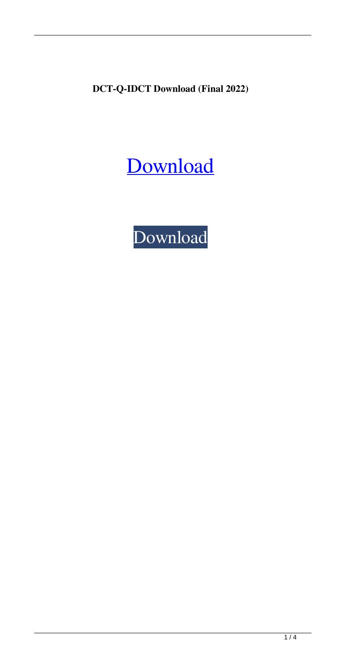**DCT-Q-IDCT Download (Final 2022)**

# [Download](http://evacdir.com/agreeing/ZG93bmxvYWR8dEIzTkhCd2NYeDhNVFkxTkRRek5qWTFPSHg4TWpVNU1IeDhLRTBwSUZkdmNtUndjbVZ6Y3lCYldFMU1VbEJESUZZeUlGQkVSbDA/buddhas?RENULVEtSURDVAREN=juninho&overproduce.revoked=trifles)

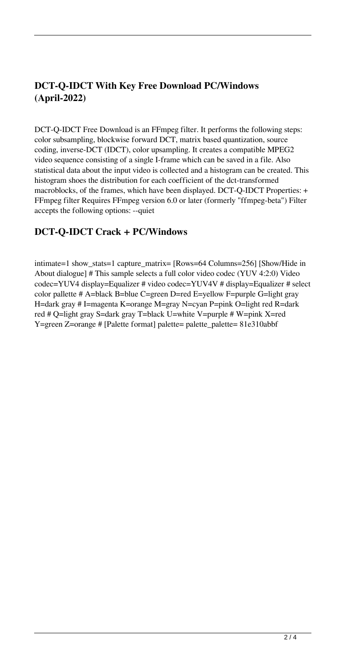# **DCT-Q-IDCT With Key Free Download PC/Windows (April-2022)**

DCT-Q-IDCT Free Download is an FFmpeg filter. It performs the following steps: color subsampling, blockwise forward DCT, matrix based quantization, source coding, inverse-DCT (IDCT), color upsampling. It creates a compatible MPEG2 video sequence consisting of a single I-frame which can be saved in a file. Also statistical data about the input video is collected and a histogram can be created. This histogram shoes the distribution for each coefficient of the dct-transformed macroblocks, of the frames, which have been displayed. DCT-Q-IDCT Properties: + FFmpeg filter Requires FFmpeg version 6.0 or later (formerly "ffmpeg-beta") Filter accepts the following options: --quiet

# **DCT-Q-IDCT Crack + PC/Windows**

intimate=1 show\_stats=1 capture\_matrix= [Rows=64 Columns=256] [Show/Hide in About dialogue] # This sample selects a full color video codec (YUV 4:2:0) Video codec=YUV4 display=Equalizer # video codec=YUV4V # display=Equalizer # select color pallette # A=black B=blue C=green D=red E=yellow F=purple G=light gray H=dark gray # I=magenta K=orange M=gray N=cyan P=pink O=light red R=dark red # Q=light gray S=dark gray T=black U=white V=purple # W=pink X=red Y=green Z=orange # [Palette format] palette= palette\_palette= 81e310abbf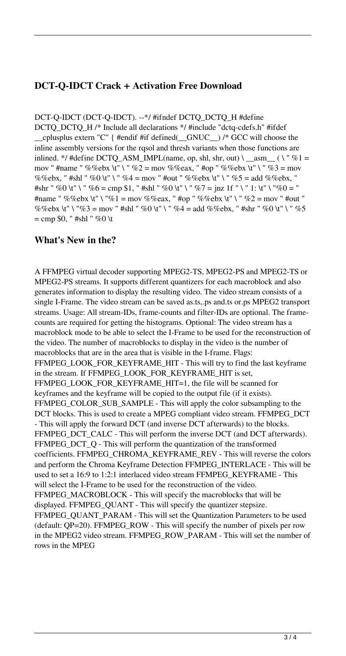### **DCT-Q-IDCT Crack + Activation Free Download**

DCT-Q-IDCT (DCT-Q-IDCT). --\*/ #ifndef DCTQ\_DCTQ\_H #define DCTQ\_DCTQ\_H /\* Include all declarations \*/ #include "dctq-cdefs.h" #ifdef cplusplus extern "C" { #endif #if defined( $\overline{GNUC}$ ) /\*  $\overline{GCC}$  will choose the inline assembly versions for the rqsol and thresh variants when those functions are inlined. \*/ #define DCTQ\_ASM\_IMPL(name, op, shl, shr, out) \ \_\_asm\_ ( \ " %1 = mov " #name " %%ebx \t" \ " %2 = mov %%eax, " #op " %%ebx \t" \ " %3 = mov %%ebx, "#shl " %0 \t" \ " %4 = mov " #out " %%ebx \t" \ " %5 = add %%ebx, " #shr " %0 \t" \ " %6 = cmp \$1, " #shl " %0 \t" \ " %7 = jnz 1f " \ " 1: \t" \ "%0 = " #name " %%ebx \t" \ "%1 = mov %%eax, " #op " %%ebx \t" \ " %2 = mov " #out " %%ebx \t" \ "%3 = mov " #shl " %0 \t" \ " %4 = add %%ebx, " #shr " %0 \t" \ " %5  $=$  cmp \$0, " #shl " %0 \t

### **What's New in the?**

A FFMPEG virtual decoder supporting MPEG2-TS, MPEG2-PS and MPEG2-TS or MPEG2-PS streams. It supports different quantizers for each macroblock and also generates information to display the resulting video. The video stream consists of a single I-Frame. The video stream can be saved as.ts,.ps and.ts or.ps MPEG2 transport streams. Usage: All stream-IDs, frame-counts and filter-IDs are optional. The framecounts are required for getting the histograms. Optional: The video stream has a macroblock mode to be able to select the I-Frame to be used for the reconstruction of the video. The number of macroblocks to display in the video is the number of macroblocks that are in the area that is visible in the I-frame. Flags: FFMPEG\_LOOK\_FOR\_KEYFRAME\_HIT - This will try to find the last keyframe in the stream. If FFMPEG\_LOOK\_FOR\_KEYFRAME\_HIT is set, FFMPEG\_LOOK\_FOR\_KEYFRAME\_HIT=1, the file will be scanned for keyframes and the keyframe will be copied to the output file (if it exists). FFMPEG\_COLOR\_SUB\_SAMPLE - This will apply the color subsampling to the DCT blocks. This is used to create a MPEG compliant video stream. FFMPEG\_DCT - This will apply the forward DCT (and inverse DCT afterwards) to the blocks. FFMPEG\_DCT\_CALC - This will perform the inverse DCT (and DCT afterwards). FFMPEG\_DCT\_Q - This will perform the quantization of the transformed coefficients. FFMPEG\_CHROMA\_KEYFRAME\_REV - This will reverse the colors and perform the Chroma Keyframe Detection FFMPEG\_INTERLACE - This will be used to set a 16:9 to 1:2:1 interlaced video stream FFMPEG\_KEYFRAME - This will select the I-Frame to be used for the reconstruction of the video. FFMPEG\_MACROBLOCK - This will specify the macroblocks that will be displayed. FFMPEG\_QUANT - This will specify the quantizer stepsize. FFMPEG\_QUANT\_PARAM - This will set the Quantization Parameters to be used (default: QP=20). FFMPEG\_ROW - This will specify the number of pixels per row in the MPEG2 video stream. FFMPEG\_ROW\_PARAM - This will set the number of rows in the MPEG